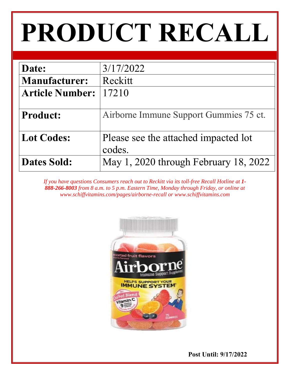# **PRODUCT RECALL**

| Date:                  | 3/17/2022                                      |
|------------------------|------------------------------------------------|
| <b>Manufacturer:</b>   | Reckitt                                        |
| <b>Article Number:</b> | 17210                                          |
|                        |                                                |
| <b>Product:</b>        | Airborne Immune Support Gummies 75 ct.         |
| <b>Lot Codes:</b>      | Please see the attached impacted lot<br>codes. |
| <b>Dates Sold:</b>     | May 1, 2020 through February 18, 2022          |

If you have questions Consumers reach out to Reckitt via its toll-free Recall Hotline at 1-*888-266-8003 from 8 a.m. to 5 p.m. Eastern Time, Monday through Friday, or online at www.schiffvitamins.com/pages/airborne-recall or www.schiffvitamins.com* 



 **Post Until: 9/17/2022**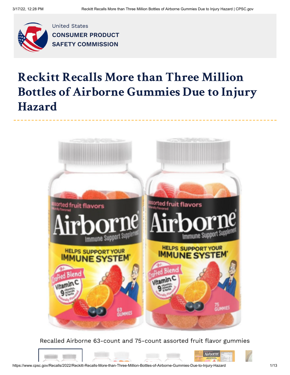

United States **CONSUMER PRODUCT SAFETY [COMMISSION](https://www.cpsc.gov/)**

## **Reckitt Recalls More than Three Million Bottles of Airborne Gummies Due to Injury Hazard**



Recalled Airborne 63-count and 75-count assorted fruit flavor gummies



https://www.cpsc.gov/Recalls/2022/Reckitt-Recalls-More-than-Three-Million-Bottles-of-Airborne-Gummies-Due-to-Injury-Hazard 1/13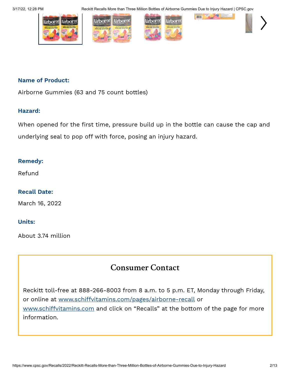3/17/22, 12:28 PM Reckitt Recalls More than Three Million Bottles of Airborne Gummies Due to Injury Hazard | CPSC.gov



#### **Name of Product:**

Airborne Gummies (63 and 75 count bottles)

#### **Hazard:**

When opened for the first time, pressure build up in the bottle can cause the cap and underlying seal to pop off with force, posing an injury hazard.

#### **Remedy:**

Refund

#### **Recall Date:**

March 16, 2022

#### **Units:**

About 3.74 million

### **Consumer Contact**

Reckitt toll-free at 888-266-8003 from 8 a.m. to 5 p.m. ET, Monday through Friday, or online at [www.schiffvitamins.com/pages/airborne-recall](http://www.schiffvitamins.com/pages/airborne-recall) or [www.schiffvitamins.com](http://www.schiffvitamins.com/) and click on "Recalls" at the bottom of the page for more information.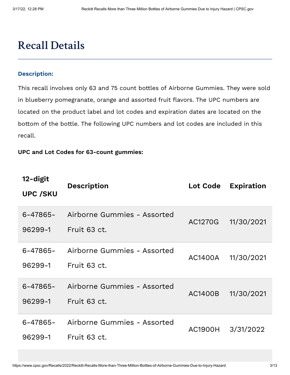## **Recall Details**

#### **Description:**

This recall involves only 63 and 75 count bottles of Airborne Gummies. They were sold in blueberry pomegranate, orange and assorted fruit flavors. The UPC numbers are located on the product label and lot codes and expiration dates are located on the bottom of the bottle. The following UPC numbers and lot codes are included in this recall.

#### **UPC and Lot Codes for 63-count gummies:**

| 12-digit<br><b>UPC /SKU</b> | <b>Description</b>                          | <b>Lot Code</b> | <b>Expiration</b> |
|-----------------------------|---------------------------------------------|-----------------|-------------------|
| $6 - 47865 -$<br>96299-1    | Airborne Gummies - Assorted<br>Fruit 63 ct. | AC1270G         | 11/30/2021        |
| $6 - 47865 -$<br>96299-1    | Airborne Gummies - Assorted<br>Fruit 63 ct. | AC1400A         | 11/30/2021        |
| $6 - 47865 -$<br>96299-1    | Airborne Gummies - Assorted<br>Fruit 63 ct. | AC1400B         | 11/30/2021        |
| $6 - 47865 -$<br>96299-1    | Airborne Gummies - Assorted<br>Fruit 63 ct. | AC1900H         | 3/31/2022         |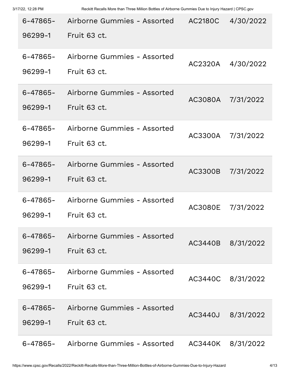| $6 - 47865 -$<br>96299-1 | Airborne Gummies - Assorted<br>Fruit 63 ct.          | <b>AC2180C</b> | 4/30/2022         |
|--------------------------|------------------------------------------------------|----------------|-------------------|
|                          |                                                      |                |                   |
| $6 - 47865 -$<br>96299-1 | Airborne Gummies - Assorted<br>Fruit 63 ct.          | AC2320A        | 4/30/2022         |
| $6 - 47865 -$<br>96299-1 | Airborne Gummies - Assorted<br>Fruit 63 ct.          | AC3080A        | 7/31/2022         |
| $6 - 47865 -$<br>96299-1 | Airborne Gummies - Assorted<br>Fruit 63 ct.          | AC3300A        | 7/31/2022         |
| $6 - 47865 -$<br>96299-1 | Airborne Gummies - Assorted<br>Fruit 63 ct.          | AC3300B        | 7/31/2022         |
| $6 - 47865 -$<br>96299-1 | Airborne Gummies - Assorted<br>Fruit 63 ct.          | AC3080E        | 7/31/2022         |
| 96299-1                  | 6-47865- Airborne Gummies - Assorted<br>Fruit 63 ct. |                | AC3440B 8/31/2022 |
| $6 - 47865 -$<br>96299-1 | Airborne Gummies - Assorted<br>Fruit 63 ct.          |                | AC3440C 8/31/2022 |
| $6 - 47865 -$<br>96299-1 | Airborne Gummies - Assorted<br>Fruit 63 ct.          |                | AC3440J 8/31/2022 |
| 6-47865-                 | Airborne Gummies - Assorted                          | AC3440K        | 8/31/2022         |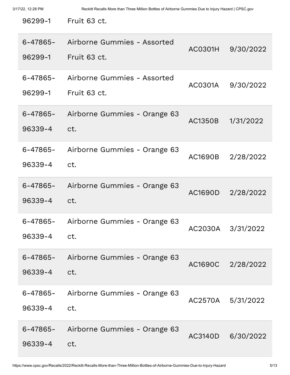| 96299-1                  | Fruit 63 ct.                                |                |                   |
|--------------------------|---------------------------------------------|----------------|-------------------|
| $6 - 47865 -$<br>96299-1 | Airborne Gummies - Assorted<br>Fruit 63 ct. | AC0301H        | 9/30/2022         |
| 6-47865-<br>96299-1      | Airborne Gummies - Assorted<br>Fruit 63 ct. | AC0301A        | 9/30/2022         |
| $6 - 47865 -$<br>96339-4 | Airborne Gummies - Orange 63<br>ct.         | AC1350B        | 1/31/2022         |
| $6 - 47865 -$<br>96339-4 | Airborne Gummies - Orange 63<br>ct.         | AC1690B        | 2/28/2022         |
| 6-47865-<br>96339-4      | Airborne Gummies - Orange 63<br>ct.         | <b>AC1690D</b> | 2/28/2022         |
| 6-47865-<br>96339-4      | Airborne Gummies - Orange 63<br>ct.         | AC2030A        | 3/31/2022         |
| 6-47865-<br>96339-4      | Airborne Gummies - Orange 63<br>ct.         | <b>AC1690C</b> | 2/28/2022         |
| $6 - 47865 -$<br>96339-4 | Airborne Gummies - Orange 63<br>ct.         |                | AC2570A 5/31/2022 |
| $6 - 47865 -$<br>96339-4 | Airborne Gummies - Orange 63<br>ct.         | AC3140D        | 6/30/2022         |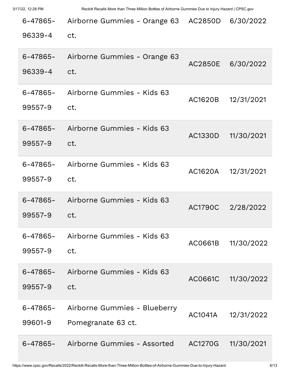| 6-47865-<br>96339-4      | Airborne Gummies - Orange 63<br>ct.                | AC2850D        | 6/30/2022  |
|--------------------------|----------------------------------------------------|----------------|------------|
| $6 - 47865 -$<br>96339-4 | Airborne Gummies - Orange 63<br>ct.                | AC2850E        | 6/30/2022  |
| 6-47865-<br>99557-9      | Airborne Gummies - Kids 63<br>ct.                  | AC1620B        | 12/31/2021 |
| $6 - 47865 -$<br>99557-9 | Airborne Gummies - Kids 63<br>ct.                  | AC1330D        | 11/30/2021 |
| $6 - 47865 -$<br>99557-9 | Airborne Gummies - Kids 63<br>ct.                  | AC1620A        | 12/31/2021 |
| 6-47865-<br>99557-9      | Airborne Gummies - Kids 63<br>ct.                  | <b>AC1790C</b> | 2/28/2022  |
| $6 - 47865 -$<br>99557-9 | Airborne Gummies - Kids 63<br>ct.                  | AC0661B        | 11/30/2022 |
| 6-47865-<br>99557-9      | Airborne Gummies - Kids 63<br>ct.                  | AC0661C        | 11/30/2022 |
| $6 - 47865 -$<br>99601-9 | Airborne Gummies - Blueberry<br>Pomegranate 63 ct. | AC1041A        | 12/31/2022 |
| $6 - 47865 -$            | Airborne Gummies - Assorted                        | AC1270G        | 11/30/2021 |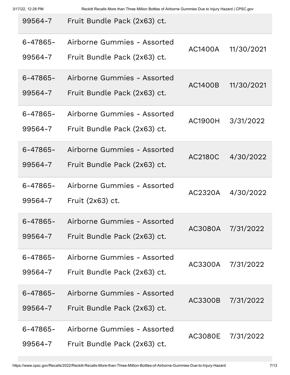| 99564-7                  | Fruit Bundle Pack (2x63) ct.                                |                |                   |
|--------------------------|-------------------------------------------------------------|----------------|-------------------|
| $6 - 47865 -$<br>99564-7 | Airborne Gummies - Assorted<br>Fruit Bundle Pack (2x63) ct. | AC1400A        | 11/30/2021        |
| $6 - 47865 -$<br>99564-7 | Airborne Gummies - Assorted<br>Fruit Bundle Pack (2x63) ct. | <b>AC1400B</b> | 11/30/2021        |
| $6 - 47865 -$<br>99564-7 | Airborne Gummies - Assorted<br>Fruit Bundle Pack (2x63) ct. | AC1900H        | 3/31/2022         |
| $6 - 47865 -$<br>99564-7 | Airborne Gummies - Assorted<br>Fruit Bundle Pack (2x63) ct. | AC2180C        | 4/30/2022         |
| $6 - 47865 -$<br>99564-7 | Airborne Gummies - Assorted<br>Fruit (2x63) ct.             | AC2320A        | 4/30/2022         |
| $6 - 47865 -$<br>99564-7 | Airborne Gummies - Assorted<br>Fruit Bundle Pack (2x63) ct. |                | AC3080A 7/31/2022 |
| $6 - 47865 -$<br>99564-7 | Airborne Gummies - Assorted<br>Fruit Bundle Pack (2x63) ct. | AC3300A        | 7/31/2022         |
| $6 - 47865 -$<br>99564-7 | Airborne Gummies - Assorted<br>Fruit Bundle Pack (2x63) ct. | AC3300B        | 7/31/2022         |
| $6 - 47865 -$<br>99564-7 | Airborne Gummies - Assorted<br>Fruit Bundle Pack (2x63) ct. | <b>AC3080E</b> | 7/31/2022         |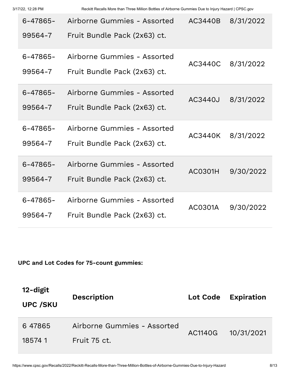| $6 - 47865 -$<br>99564-7 | Airborne Gummies - Assorted<br>Fruit Bundle Pack (2x63) ct. | AC3440B        | 8/31/2022 |
|--------------------------|-------------------------------------------------------------|----------------|-----------|
| $6 - 47865 -$<br>99564-7 | Airborne Gummies - Assorted<br>Fruit Bundle Pack (2x63) ct. | AC3440C        | 8/31/2022 |
| $6 - 47865 -$<br>99564-7 | Airborne Gummies - Assorted<br>Fruit Bundle Pack (2x63) ct. | <b>AC3440J</b> | 8/31/2022 |
| $6 - 47865 -$<br>99564-7 | Airborne Gummies - Assorted<br>Fruit Bundle Pack (2x63) ct. | AC3440K        | 8/31/2022 |
| $6 - 47865 -$<br>99564-7 | Airborne Gummies - Assorted<br>Fruit Bundle Pack (2x63) ct. | AC0301H        | 9/30/2022 |
| $6 - 47865 -$<br>99564-7 | Airborne Gummies - Assorted<br>Fruit Bundle Pack (2x63) ct. | AC0301A        | 9/30/2022 |

**UPC and Lot Codes for 75-count gummies:**

| 12-digit<br><b>UPC /SKU</b> | <b>Description</b>          | Lot Code | <b>Expiration</b> |
|-----------------------------|-----------------------------|----------|-------------------|
| 647865                      | Airborne Gummies - Assorted | AC1140G  | 10/31/2021        |
| 185741                      | Fruit 75 ct.                |          |                   |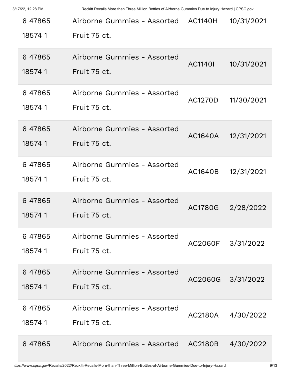| 647865<br>185741  | Airborne Gummies - Assorted<br>Fruit 75 ct. | <b>AC1140H</b> | 10/31/2021 |
|-------------------|---------------------------------------------|----------------|------------|
| 647865<br>185741  | Airborne Gummies - Assorted<br>Fruit 75 ct. | <b>AC11401</b> | 10/31/2021 |
| 647865<br>185741  | Airborne Gummies - Assorted<br>Fruit 75 ct. | AC1270D        | 11/30/2021 |
| 647865<br>185741  | Airborne Gummies - Assorted<br>Fruit 75 ct. | AC1640A        | 12/31/2021 |
| 6 47865<br>185741 | Airborne Gummies - Assorted<br>Fruit 75 ct. | AC1640B        | 12/31/2021 |
| 6 47865<br>185741 | Airborne Gummies - Assorted<br>Fruit 75 ct. | AC1780G        | 2/28/2022  |
| 647865<br>185741  | Airborne Gummies - Assorted<br>Fruit 75 ct. | AC2060F        | 3/31/2022  |
| 6 47865<br>185741 | Airborne Gummies - Assorted<br>Fruit 75 ct. | AC2060G        | 3/31/2022  |
| 6 47865<br>185741 | Airborne Gummies - Assorted<br>Fruit 75 ct. | AC2180A        | 4/30/2022  |
| 6 47865           | Airborne Gummies - Assorted                 | <b>AC2180B</b> | 4/30/2022  |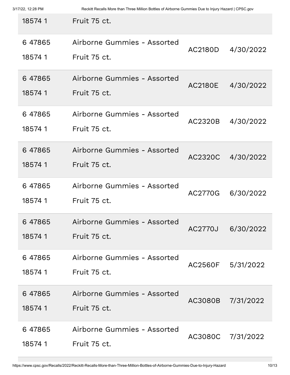| 3/17/22, 12:28 PM |  |
|-------------------|--|
|                   |  |

| 185741            | Fruit 75 ct.                                |                |                   |
|-------------------|---------------------------------------------|----------------|-------------------|
| 647865<br>185741  | Airborne Gummies - Assorted<br>Fruit 75 ct. | AC2180D        | 4/30/2022         |
| 6 47865<br>185741 | Airborne Gummies - Assorted<br>Fruit 75 ct. | AC2180E        | 4/30/2022         |
| 647865<br>185741  | Airborne Gummies - Assorted<br>Fruit 75 ct. | AC2320B        | 4/30/2022         |
| 647865<br>185741  | Airborne Gummies - Assorted<br>Fruit 75 ct. | AC2320C        | 4/30/2022         |
| 647865<br>185741  | Airborne Gummies - Assorted<br>Fruit 75 ct. | AC2770G        | 6/30/2022         |
| 6 47865<br>185741 | Airborne Gummies - Assorted<br>Fruit 75 ct. | <b>AC2770J</b> | 6/30/2022         |
| 6 47865<br>185741 | Airborne Gummies - Assorted<br>Fruit 75 ct. |                | AC2560F 5/31/2022 |
| 6 47865<br>185741 | Airborne Gummies - Assorted<br>Fruit 75 ct. | AC3080B        | 7/31/2022         |
| 6 47865<br>185741 | Airborne Gummies - Assorted<br>Fruit 75 ct. | AC3080C        | 7/31/2022         |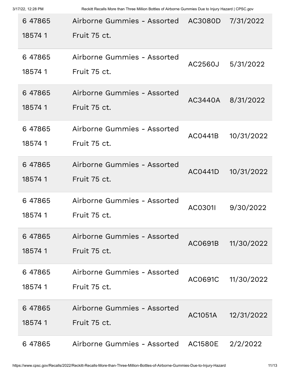| 3/17/22, 12:28 PM |  |
|-------------------|--|
|                   |  |

| 647865<br>185741  | Airborne Gummies - Assorted<br>Fruit 75 ct. | AC3080D        | 7/31/2022  |
|-------------------|---------------------------------------------|----------------|------------|
| 647865<br>185741  | Airborne Gummies - Assorted<br>Fruit 75 ct. | AC2560J        | 5/31/2022  |
| 647865<br>185741  | Airborne Gummies - Assorted<br>Fruit 75 ct. | AC3440A        | 8/31/2022  |
| 6 47865<br>185741 | Airborne Gummies - Assorted<br>Fruit 75 ct. | AC0441B        | 10/31/2022 |
| 647865<br>185741  | Airborne Gummies - Assorted<br>Fruit 75 ct. | AC0441D        | 10/31/2022 |
| 647865<br>185741  | Airborne Gummies - Assorted<br>Fruit 75 ct. | AC0301I        | 9/30/2022  |
| 647865<br>185741  | Airborne Gummies - Assorted<br>Fruit 75 ct. | AC0691B        | 11/30/2022 |
| 6 47865<br>185741 | Airborne Gummies - Assorted<br>Fruit 75 ct. | AC0691C        | 11/30/2022 |
| 6 47865<br>185741 | Airborne Gummies - Assorted<br>Fruit 75 ct. | <b>AC1051A</b> | 12/31/2022 |
| 6 47865           | Airborne Gummies - Assorted                 | AC1580E        | 2/2/2022   |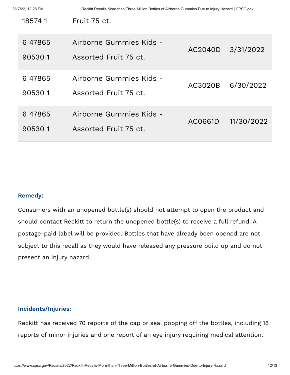| 185741           | Fruit 75 ct.                                     |                   |            |
|------------------|--------------------------------------------------|-------------------|------------|
| 647865<br>905301 | Airborne Gummies Kids -<br>Assorted Fruit 75 ct. | AC2040D 3/31/2022 |            |
| 647865<br>905301 | Airborne Gummies Kids -<br>Assorted Fruit 75 ct. | AC3020B           | 6/30/2022  |
| 647865<br>905301 | Airborne Gummies Kids -<br>Assorted Fruit 75 ct. | AC0661D           | 11/30/2022 |

#### **Remedy:**

Consumers with an unopened bottle(s) should not attempt to open the product and should contact Reckitt to return the unopened bottle(s) to receive a full refund. A postage-paid label will be provided. Bottles that have already been opened are not subject to this recall as they would have released any pressure build up and do not present an injury hazard.

#### **Incidents/Injuries:**

Reckitt has received 70 reports of the cap or seal popping off the bottles, including 18 reports of minor injuries and one report of an eye injury requiring medical attention.